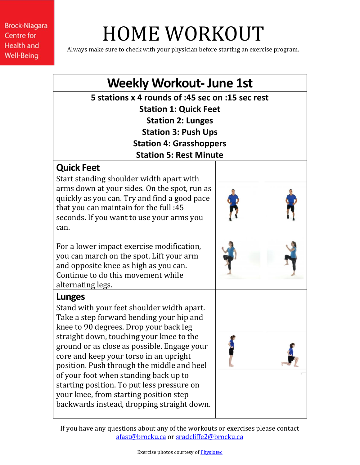# HOME WORKOUT

Always make sure to check with your physician before starting an exercise program.

## **Weekly Workout- June 1st**

**5 stations x 4 rounds of :45 sec on :15 sec rest Station 1: Quick Feet Station 2: Lunges Station 3: Push Ups Station 4: Grasshoppers Station 5: Rest Minute**

### **Quick Feet**

Start standing shoulder width apart with arms down at your sides. On the spot, run as quickly as you can. Try and find a good pace that you can maintain for the full :45 seconds. If you want to use your arms you can.

For a lower impact exercise modification, you can march on the spot. Lift your arm and opposite knee as high as you can. Continue to do this movement while alternating legs.

#### **Lunges**

Stand with your feet shoulder width apart. Take a step forward bending your hip and knee to 90 degrees. Drop your back leg straight down, touching your knee to the ground or as close as possible. Engage your core and keep your torso in an upright position. Push through the middle and heel of your foot when standing back up to starting position. To put less pressure on your knee, from starting position step backwards instead, dropping straight down.

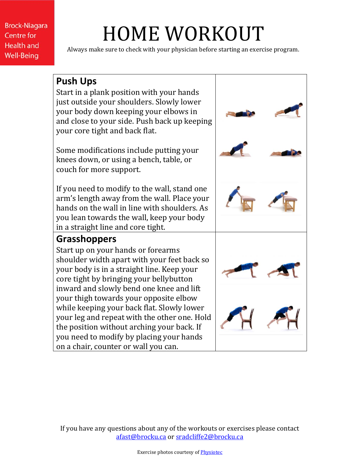# HOME WORKOUT

Always make sure to check with your physician before starting an exercise program.

#### **Push Ups** Start in a plank position with your hands just outside your shoulders. Slowly lower your body down keeping your elbows in and close to your side. Push back up keeping your core tight and back flat. Some modifications include putting your knees down, or using a bench, table, or couch for more support. If you need to modify to the wall, stand one arm's length away from the wall. Place your hands on the wall in line with shoulders. As you lean towards the wall, keep your body in a straight line and core tight. **Grasshoppers** Start up on your hands or forearms shoulder width apart with your feet back so your body is in a straight line. Keep your core tight by bringing your bellybutton inward and slowly bend one knee and lift your thigh towards your opposite elbow while keeping your back flat. Slowly lower your leg and repeat with the other one. Hold the position without arching your back. If you need to modify by placing your hands on a chair, counter or wall you can.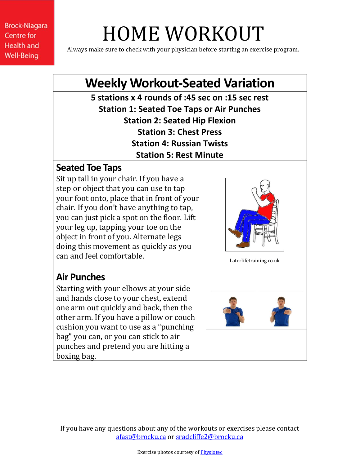# HOME WORKOUT

Always make sure to check with your physician before starting an exercise program.

## **Weekly Workout-Seated Variation**

**5 stations x 4 rounds of :45 sec on :15 sec rest Station 1: Seated Toe Taps or Air Punches Station 2: Seated Hip Flexion Station 3: Chest Press Station 4: Russian Twists Station 5: Rest Minute**

#### **Seated Toe Taps**

Sit up tall in your chair. If you have a step or object that you can use to tap your foot onto, place that in front of your chair. If you don't have anything to tap, you can just pick a spot on the floor. Lift your leg up, tapping your toe on the object in front of you. Alternate legs doing this movement as quickly as you can and feel comfortable.



Laterlifetraining.co.uk

### **Air Punches**

Starting with your elbows at your side and hands close to your chest, extend one arm out quickly and back, then the other arm. If you have a pillow or couch cushion you want to use as a "punching bag" you can, or you can stick to air punches and pretend you are hitting a boxing bag.